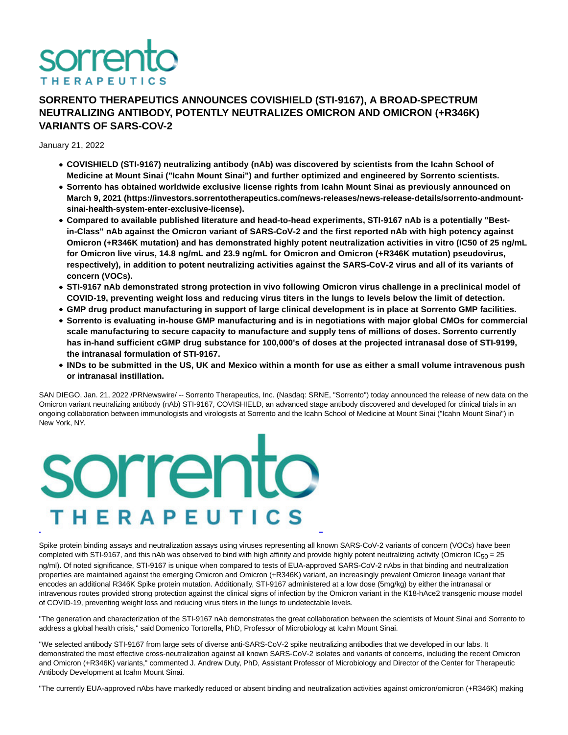

## **SORRENTO THERAPEUTICS ANNOUNCES COVISHIELD (STI-9167), A BROAD-SPECTRUM NEUTRALIZING ANTIBODY, POTENTLY NEUTRALIZES OMICRON AND OMICRON (+R346K) VARIANTS OF SARS-COV-2**

January 21, 2022

- **COVISHIELD (STI-9167) neutralizing antibody (nAb) was discovered by scientists from the Icahn School of Medicine at Mount Sinai ("Icahn Mount Sinai") and further optimized and engineered by Sorrento scientists.**
- **Sorrento has obtained worldwide exclusive license rights from Icahn Mount Sinai as previously announced on March 9, 2021 (https://investors.sorrentotherapeutics.com/news-releases/news-release-details/sorrento-andmountsinai-health-system-enter-exclusive-license).**
- **Compared to available published literature and head-to-head experiments, STI-9167 nAb is a potentially "Bestin-Class" nAb against the Omicron variant of SARS-CoV-2 and the first reported nAb with high potency against Omicron (+R346K mutation) and has demonstrated highly potent neutralization activities in vitro (IC50 of 25 ng/mL for Omicron live virus, 14.8 ng/mL and 23.9 ng/mL for Omicron and Omicron (+R346K mutation) pseudovirus, respectively), in addition to potent neutralizing activities against the SARS-CoV-2 virus and all of its variants of concern (VOCs).**
- **STI-9167 nAb demonstrated strong protection in vivo following Omicron virus challenge in a preclinical model of COVID-19, preventing weight loss and reducing virus titers in the lungs to levels below the limit of detection.**
- **GMP drug product manufacturing in support of large clinical development is in place at Sorrento GMP facilities.**
- **Sorrento is evaluating in-house GMP manufacturing and is in negotiations with major global CMOs for commercial scale manufacturing to secure capacity to manufacture and supply tens of millions of doses. Sorrento currently has in-hand sufficient cGMP drug substance for 100,000's of doses at the projected intranasal dose of STI-9199, the intranasal formulation of STI-9167.**
- **INDs to be submitted in the US, UK and Mexico within a month for use as either a small volume intravenous push or intranasal instillation.**

SAN DIEGO, Jan. 21, 2022 /PRNewswire/ -- Sorrento Therapeutics, Inc. (Nasdaq: SRNE, "Sorrento") today announced the release of new data on the Omicron variant neutralizing antibody (nAb) STI-9167, COVISHIELD, an advanced stage antibody discovered and developed for clinical trials in an ongoing collaboration between immunologists and virologists at Sorrento and the Icahn School of Medicine at Mount Sinai ("Icahn Mount Sinai") in New York, NY.

# sorrento THERAPEUTICS L

Spike protein binding assays and neutralization assays using viruses representing all known SARS-CoV-2 variants of concern (VOCs) have been completed with STI-9167, and this nAb was observed to bind with high affinity and provide highly potent neutralizing activity (Omicron IC $_{50}$  = 25 ng/ml). Of noted significance, STI-9167 is unique when compared to tests of EUA-approved SARS-CoV-2 nAbs in that binding and neutralization properties are maintained against the emerging Omicron and Omicron (+R346K) variant, an increasingly prevalent Omicron lineage variant that encodes an additional R346K Spike protein mutation. Additionally, STI-9167 administered at a low dose (5mg/kg) by either the intranasal or intravenous routes provided strong protection against the clinical signs of infection by the Omicron variant in the K18-hAce2 transgenic mouse model of COVID-19, preventing weight loss and reducing virus titers in the lungs to undetectable levels.

"The generation and characterization of the STI-9167 nAb demonstrates the great collaboration between the scientists of Mount Sinai and Sorrento to address a global health crisis," said Domenico Tortorella, PhD, Professor of Microbiology at Icahn Mount Sinai.

"We selected antibody STI-9167 from large sets of diverse anti-SARS-CoV-2 spike neutralizing antibodies that we developed in our labs. It demonstrated the most effective cross-neutralization against all known SARS-CoV-2 isolates and variants of concerns, including the recent Omicron and Omicron (+R346K) variants," commented J. Andrew Duty, PhD, Assistant Professor of Microbiology and Director of the Center for Therapeutic Antibody Development at Icahn Mount Sinai.

"The currently EUA-approved nAbs have markedly reduced or absent binding and neutralization activities against omicron/omicron (+R346K) making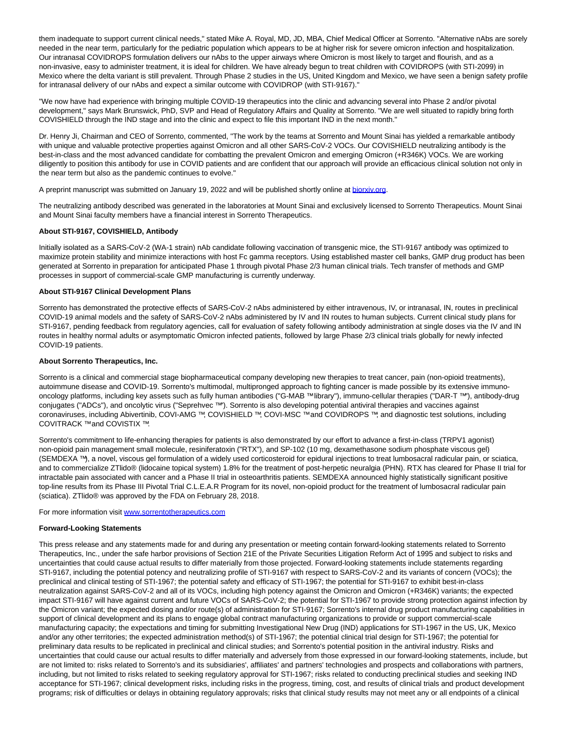them inadequate to support current clinical needs," stated Mike A. Royal, MD, JD, MBA, Chief Medical Officer at Sorrento. "Alternative nAbs are sorely needed in the near term, particularly for the pediatric population which appears to be at higher risk for severe omicron infection and hospitalization. Our intranasal COVIDROPS formulation delivers our nAbs to the upper airways where Omicron is most likely to target and flourish, and as a non-invasive, easy to administer treatment, it is ideal for children. We have already begun to treat children with COVIDROPS (with STI-2099) in Mexico where the delta variant is still prevalent. Through Phase 2 studies in the US, United Kingdom and Mexico, we have seen a benign safety profile for intranasal delivery of our nAbs and expect a similar outcome with COVIDROP (with STI-9167)."

"We now have had experience with bringing multiple COVID-19 therapeutics into the clinic and advancing several into Phase 2 and/or pivotal development," says Mark Brunswick, PhD, SVP and Head of Regulatory Affairs and Quality at Sorrento. "We are well situated to rapidly bring forth COVISHIELD through the IND stage and into the clinic and expect to file this important IND in the next month."

Dr. Henry Ji, Chairman and CEO of Sorrento, commented, "The work by the teams at Sorrento and Mount Sinai has yielded a remarkable antibody with unique and valuable protective properties against Omicron and all other SARS-CoV-2 VOCs. Our COVISHIELD neutralizing antibody is the best-in-class and the most advanced candidate for combatting the prevalent Omicron and emerging Omicron (+R346K) VOCs. We are working diligently to position this antibody for use in COVID patients and are confident that our approach will provide an efficacious clinical solution not only in the near term but also as the pandemic continues to evolve."

A preprint manuscript was submitted on January 19, 2022 and will be published shortly online a[t biorxiv.org.](http://biorxiv.org/)

The neutralizing antibody described was generated in the laboratories at Mount Sinai and exclusively licensed to Sorrento Therapeutics. Mount Sinai and Mount Sinai faculty members have a financial interest in Sorrento Therapeutics.

### **About STI-9167, COVISHIELD, Antibody**

Initially isolated as a SARS-CoV-2 (WA-1 strain) nAb candidate following vaccination of transgenic mice, the STI-9167 antibody was optimized to maximize protein stability and minimize interactions with host Fc gamma receptors. Using established master cell banks, GMP drug product has been generated at Sorrento in preparation for anticipated Phase 1 through pivotal Phase 2/3 human clinical trials. Tech transfer of methods and GMP processes in support of commercial-scale GMP manufacturing is currently underway.

### **About STI-9167 Clinical Development Plans**

Sorrento has demonstrated the protective effects of SARS-CoV-2 nAbs administered by either intravenous, IV, or intranasal, IN, routes in preclinical COVID-19 animal models and the safety of SARS-CoV-2 nAbs administered by IV and IN routes to human subjects. Current clinical study plans for STI-9167, pending feedback from regulatory agencies, call for evaluation of safety following antibody administration at single doses via the IV and IN routes in healthy normal adults or asymptomatic Omicron infected patients, followed by large Phase 2/3 clinical trials globally for newly infected COVID-19 patients.

### **About Sorrento Therapeutics, Inc.**

Sorrento is a clinical and commercial stage biopharmaceutical company developing new therapies to treat cancer, pain (non-opioid treatments), autoimmune disease and COVID-19. Sorrento's multimodal, multipronged approach to fighting cancer is made possible by its extensive immunooncology platforms, including key assets such as fully human antibodies ("G-MAB ™ library"), immuno-cellular therapies ("DAR-T ™"), antibody-drug conjugates ("ADCs"), and oncolytic virus ("Seprehvec ™"). Sorrento is also developing potential antiviral therapies and vaccines against coronaviruses, including Abivertinib, COVI-AMG ™, COVISHIELD ™, COVI-MSC ™ and COVIDROPS ™, and diagnostic test solutions, including COVITRACK ™and COVISTIX ™.

Sorrento's commitment to life-enhancing therapies for patients is also demonstrated by our effort to advance a first-in-class (TRPV1 agonist) non-opioid pain management small molecule, resiniferatoxin ("RTX"), and SP-102 (10 mg, dexamethasone sodium phosphate viscous gel) (SEMDEXA ™), a novel, viscous gel formulation of a widely used corticosteroid for epidural injections to treat lumbosacral radicular pain, or sciatica, and to commercialize ZTlido® (lidocaine topical system) 1.8% for the treatment of post-herpetic neuralgia (PHN). RTX has cleared for Phase II trial for intractable pain associated with cancer and a Phase II trial in osteoarthritis patients. SEMDEXA announced highly statistically significant positive top-line results from its Phase III Pivotal Trial C.L.E.A.R Program for its novel, non-opioid product for the treatment of lumbosacral radicular pain (sciatica). ZTlido® was approved by the FDA on February 28, 2018.

For more information visit [www.sorrentotherapeutics.com](https://c212.net/c/link/?t=0&l=en&o=3418366-1&h=4049103469&u=http%3A%2F%2Fwww.sorrentotherapeutics.com%2F&a=www.sorrentotherapeutics.com)

### **Forward-Looking Statements**

This press release and any statements made for and during any presentation or meeting contain forward-looking statements related to Sorrento Therapeutics, Inc., under the safe harbor provisions of Section 21E of the Private Securities Litigation Reform Act of 1995 and subject to risks and uncertainties that could cause actual results to differ materially from those projected. Forward-looking statements include statements regarding STI-9167, including the potential potency and neutralizing profile of STI-9167 with respect to SARS-CoV-2 and its variants of concern (VOCs); the preclinical and clinical testing of STI-1967; the potential safety and efficacy of STI-1967; the potential for STI-9167 to exhibit best-in-class neutralization against SARS-CoV-2 and all of its VOCs, including high potency against the Omicron and Omicron (+R346K) variants; the expected impact STI-9167 will have against current and future VOCs of SARS-CoV-2; the potential for STI-1967 to provide strong protection against infection by the Omicron variant; the expected dosing and/or route(s) of administration for STI-9167; Sorrento's internal drug product manufacturing capabilities in support of clinical development and its plans to engage global contract manufacturing organizations to provide or support commercial-scale manufacturing capacity; the expectations and timing for submitting Investigational New Drug (IND) applications for STI-1967 in the US, UK, Mexico and/or any other territories; the expected administration method(s) of STI-1967; the potential clinical trial design for STI-1967; the potential for preliminary data results to be replicated in preclinical and clinical studies; and Sorrento's potential position in the antiviral industry. Risks and uncertainties that could cause our actual results to differ materially and adversely from those expressed in our forward-looking statements, include, but are not limited to: risks related to Sorrento's and its subsidiaries', affiliates' and partners' technologies and prospects and collaborations with partners, including, but not limited to risks related to seeking regulatory approval for STI-1967; risks related to conducting preclinical studies and seeking IND acceptance for STI-1967; clinical development risks, including risks in the progress, timing, cost, and results of clinical trials and product development programs; risk of difficulties or delays in obtaining regulatory approvals; risks that clinical study results may not meet any or all endpoints of a clinical